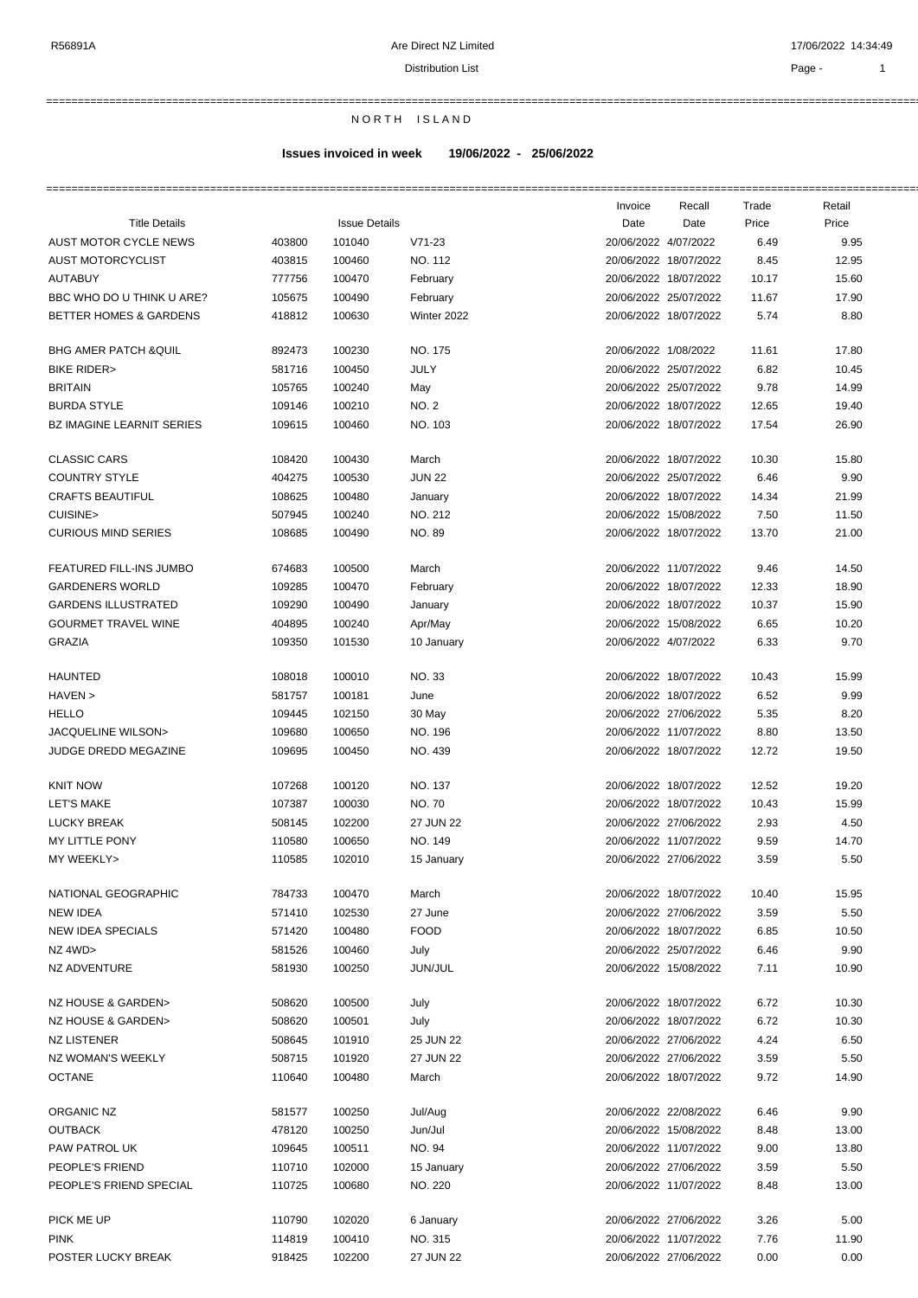## =========================================================================================================================================================== N O R T H I S L A N D

## **Issues invoiced in week 19/06/2022 - 25/06/2022**

|                                  |        |                      |                | Invoice              | Recall                | Trade | Retail |
|----------------------------------|--------|----------------------|----------------|----------------------|-----------------------|-------|--------|
| <b>Title Details</b>             |        | <b>Issue Details</b> |                | Date                 | Date                  | Price | Price  |
| AUST MOTOR CYCLE NEWS            | 403800 | 101040               | $V71-23$       | 20/06/2022 4/07/2022 |                       | 6.49  | 9.95   |
| AUST MOTORCYCLIST                | 403815 | 100460               | NO. 112        |                      | 20/06/2022 18/07/2022 | 8.45  | 12.95  |
| <b>AUTABUY</b>                   | 777756 | 100470               | February       |                      | 20/06/2022 18/07/2022 | 10.17 | 15.60  |
| BBC WHO DO U THINK U ARE?        | 105675 | 100490               | February       |                      | 20/06/2022 25/07/2022 | 11.67 | 17.90  |
| BETTER HOMES & GARDENS           | 418812 | 100630               | Winter 2022    |                      | 20/06/2022 18/07/2022 | 5.74  | 8.80   |
| <b>BHG AMER PATCH &amp;QUIL</b>  | 892473 | 100230               | NO. 175        | 20/06/2022 1/08/2022 |                       | 11.61 | 17.80  |
| <b>BIKE RIDER&gt;</b>            | 581716 | 100450               | JULY           |                      | 20/06/2022 25/07/2022 | 6.82  | 10.45  |
| <b>BRITAIN</b>                   | 105765 | 100240               | May            |                      | 20/06/2022 25/07/2022 | 9.78  | 14.99  |
| <b>BURDA STYLE</b>               | 109146 | 100210               | NO. 2          |                      | 20/06/2022 18/07/2022 | 12.65 | 19.40  |
| <b>BZ IMAGINE LEARNIT SERIES</b> | 109615 | 100460               | NO. 103        |                      | 20/06/2022 18/07/2022 | 17.54 | 26.90  |
| <b>CLASSIC CARS</b>              | 108420 | 100430               | March          |                      | 20/06/2022 18/07/2022 | 10.30 | 15.80  |
| <b>COUNTRY STYLE</b>             | 404275 | 100530               | <b>JUN 22</b>  |                      | 20/06/2022 25/07/2022 | 6.46  | 9.90   |
| <b>CRAFTS BEAUTIFUL</b>          | 108625 | 100480               | January        |                      | 20/06/2022 18/07/2022 | 14.34 | 21.99  |
| CUISINE>                         | 507945 | 100240               | NO. 212        |                      | 20/06/2022 15/08/2022 | 7.50  | 11.50  |
| <b>CURIOUS MIND SERIES</b>       | 108685 | 100490               | <b>NO. 89</b>  |                      | 20/06/2022 18/07/2022 | 13.70 | 21.00  |
| FEATURED FILL-INS JUMBO          | 674683 | 100500               | March          |                      | 20/06/2022 11/07/2022 | 9.46  | 14.50  |
| <b>GARDENERS WORLD</b>           | 109285 | 100470               | February       |                      | 20/06/2022 18/07/2022 | 12.33 | 18.90  |
| <b>GARDENS ILLUSTRATED</b>       | 109290 | 100490               | January        |                      | 20/06/2022 18/07/2022 | 10.37 | 15.90  |
| <b>GOURMET TRAVEL WINE</b>       | 404895 | 100240               | Apr/May        |                      | 20/06/2022 15/08/2022 | 6.65  | 10.20  |
| <b>GRAZIA</b>                    | 109350 | 101530               | 10 January     | 20/06/2022 4/07/2022 |                       | 6.33  | 9.70   |
| <b>HAUNTED</b>                   | 108018 | 100010               | <b>NO.33</b>   |                      | 20/06/2022 18/07/2022 | 10.43 | 15.99  |
| HAVEN >                          | 581757 | 100181               | June           |                      | 20/06/2022 18/07/2022 | 6.52  | 9.99   |
| <b>HELLO</b>                     | 109445 | 102150               | 30 May         |                      | 20/06/2022 27/06/2022 | 5.35  | 8.20   |
| JACQUELINE WILSON>               | 109680 | 100650               | NO. 196        |                      | 20/06/2022 11/07/2022 | 8.80  | 13.50  |
| JUDGE DREDD MEGAZINE             | 109695 | 100450               | NO. 439        |                      | 20/06/2022 18/07/2022 | 12.72 | 19.50  |
|                                  |        |                      |                |                      |                       |       |        |
| <b>KNIT NOW</b>                  | 107268 | 100120               | NO. 137        |                      | 20/06/2022 18/07/2022 | 12.52 | 19.20  |
| <b>LET'S MAKE</b>                | 107387 | 100030               | <b>NO.70</b>   |                      | 20/06/2022 18/07/2022 | 10.43 | 15.99  |
| <b>LUCKY BREAK</b>               | 508145 | 102200               | 27 JUN 22      |                      | 20/06/2022 27/06/2022 | 2.93  | 4.50   |
| MY LITTLE PONY                   | 110580 | 100650               | <b>NO. 149</b> |                      | 20/06/2022 11/07/2022 | 9.59  | 14.70  |
| MY WEEKLY>                       | 110585 | 102010               | 15 January     |                      | 20/06/2022 27/06/2022 | 3.59  | 5.50   |
| NATIONAL GEOGRAPHIC              | 784733 | 100470               | March          |                      | 20/06/2022 18/07/2022 | 10.40 | 15.95  |
| <b>NEW IDEA</b>                  | 571410 | 102530               | 27 June        |                      | 20/06/2022 27/06/2022 | 3.59  | 5.50   |
| <b>NEW IDEA SPECIALS</b>         | 571420 | 100480               | <b>FOOD</b>    |                      | 20/06/2022 18/07/2022 | 6.85  | 10.50  |
| NZ 4WD>                          | 581526 | 100460               | July           |                      | 20/06/2022 25/07/2022 | 6.46  | 9.90   |
| NZ ADVENTURE                     | 581930 | 100250               | JUN/JUL        |                      | 20/06/2022 15/08/2022 | 7.11  | 10.90  |
| NZ HOUSE & GARDEN>               | 508620 | 100500               | July           |                      | 20/06/2022 18/07/2022 | 6.72  | 10.30  |
| NZ HOUSE & GARDEN>               | 508620 | 100501               | July           |                      | 20/06/2022 18/07/2022 | 6.72  | 10.30  |
| <b>NZ LISTENER</b>               | 508645 | 101910               | 25 JUN 22      |                      | 20/06/2022 27/06/2022 | 4.24  | 6.50   |
| NZ WOMAN'S WEEKLY                | 508715 | 101920               | 27 JUN 22      |                      | 20/06/2022 27/06/2022 | 3.59  | 5.50   |
| <b>OCTANE</b>                    | 110640 | 100480               | March          |                      | 20/06/2022 18/07/2022 | 9.72  | 14.90  |
| ORGANIC NZ                       | 581577 | 100250               | Jul/Aug        |                      | 20/06/2022 22/08/2022 | 6.46  | 9.90   |
| <b>OUTBACK</b>                   | 478120 | 100250               | Jun/Jul        |                      | 20/06/2022 15/08/2022 | 8.48  | 13.00  |
| PAW PATROL UK                    | 109645 | 100511               | NO. 94         |                      | 20/06/2022 11/07/2022 | 9.00  | 13.80  |
| PEOPLE'S FRIEND                  | 110710 | 102000               | 15 January     |                      | 20/06/2022 27/06/2022 | 3.59  | 5.50   |
| PEOPLE'S FRIEND SPECIAL          | 110725 | 100680               | NO. 220        |                      | 20/06/2022 11/07/2022 | 8.48  | 13.00  |
| PICK ME UP                       | 110790 | 102020               | 6 January      |                      | 20/06/2022 27/06/2022 | 3.26  | 5.00   |
| <b>PINK</b>                      | 114819 | 100410               | NO. 315        |                      | 20/06/2022 11/07/2022 | 7.76  | 11.90  |
| POSTER LUCKY BREAK               | 918425 | 102200               | 27 JUN 22      |                      | 20/06/2022 27/06/2022 | 0.00  | 0.00   |